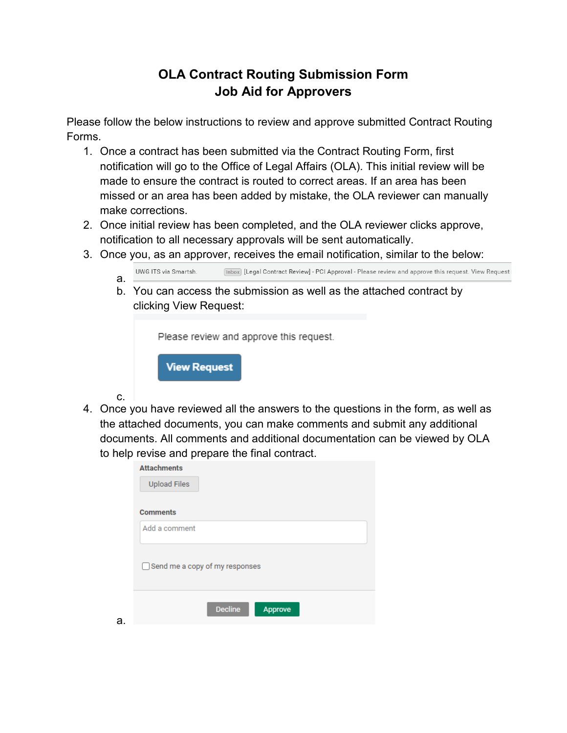## **OLA Contract Routing Submission Form Job Aid for Approvers**

Please follow the below instructions to review and approve submitted Contract Routing Forms.

- 1. Once a contract has been submitted via the Contract Routing Form, first notification will go to the Office of Legal Affairs (OLA). This initial review will be made to ensure the contract is routed to correct areas. If an area has been missed or an area has been added by mistake, the OLA reviewer can manually make corrections.
- 2. Once initial review has been completed, and the OLA reviewer clicks approve, notification to all necessary approvals will be sent automatically.
- 3. Once you, as an approver, receives the email notification, similar to the below:
	- [Inbox] [Legal Contract Review] PCI Approval Please review and approve this request. View Request | UWG ITS via Smartsh. a.
	- b. You can access the submission as well as the attached contract by clicking View Request:

Please review and approve this request.



c.

a.

4. Once you have reviewed all the answers to the questions in the form, as well as the attached documents, you can make comments and submit any additional documents. All comments and additional documentation can be viewed by OLA to help revise and prepare the final contract.

| <b>Attachments</b>             |
|--------------------------------|
| <b>Upload Files</b>            |
|                                |
| <b>Comments</b>                |
| Add a comment                  |
| Send me a copy of my responses |
| <b>Decline</b><br>Approve      |